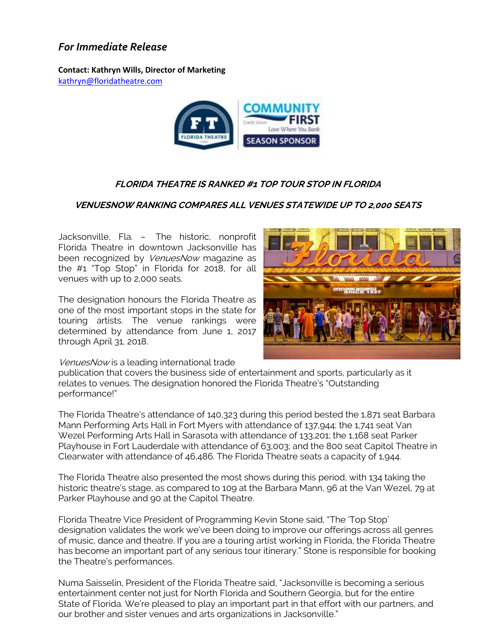## *For Immediate Release*

**Contact: Kathryn Wills, Director of Marketing**  [kathryn@floridatheatre.com](mailto:kathryn@floridatheatre.com)



## **FLORIDA THEATRE IS RANKED #1 TOP TOUR STOP IN FLORIDA**

## **VENUESNOW RANKING COMPARES ALL VENUES STATEWIDE UP TO 2,000 SEATS**

Jacksonville, Fla. – The historic, nonprofit Florida Theatre in downtown Jacksonville has been recognized by VenuesNow magazine as the #1 "Top Stop" in Florida for 2018, for all venues with up to 2,000 seats.

The designation honours the Florida Theatre as one of the most important stops in the state for touring artists. The venue rankings were determined by attendance from June 1, 2017 through April 31, 2018.



VenuesNow is a leading international trade

publication that covers the business side of entertainment and sports, particularly as it relates to venues. The designation honored the Florida Theatre's "Outstanding performance!"

The Florida Theatre's attendance of 140,323 during this period bested the 1,871 seat Barbara Mann Performing Arts Hall in Fort Myers with attendance of 137,944; the 1,741 seat Van Wezel Performing Arts Hall in Sarasota with attendance of 133,201; the 1,168 seat Parker Playhouse in Fort Lauderdale with attendance of 63,003; and the 800 seat Capitol Theatre in Clearwater with attendance of 46,486. The Florida Theatre seats a capacity of 1,944.

The Florida Theatre also presented the most shows during this period, with 134 taking the historic theatre's stage, as compared to 109 at the Barbara Mann, 96 at the Van Wezel, 79 at Parker Playhouse and 90 at the Capitol Theatre.

Florida Theatre Vice President of Programming Kevin Stone said, "The 'Top Stop' designation validates the work we've been doing to improve our offerings across all genres of music, dance and theatre. If you are a touring artist working in Florida, the Florida Theatre has become an important part of any serious tour itinerary." Stone is responsible for booking the Theatre's performances.

Numa Saisselin, President of the Florida Theatre said, "Jacksonville is becoming a serious entertainment center not just for North Florida and Southern Georgia, but for the entire State of Florida. We're pleased to play an important part in that effort with our partners, and our brother and sister venues and arts organizations in Jacksonville."